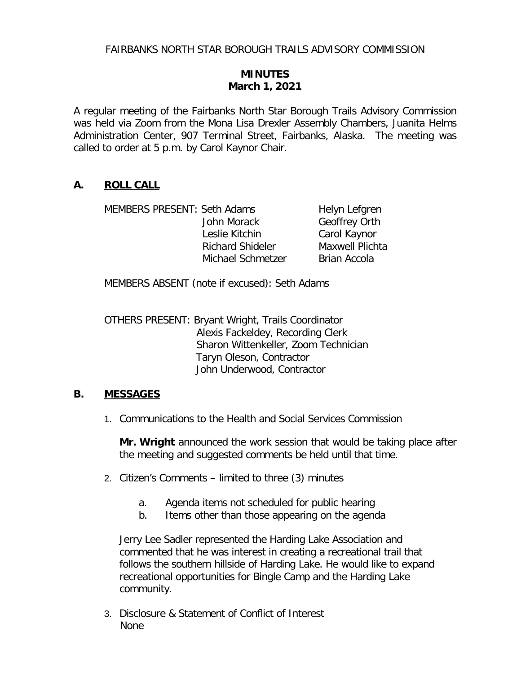# **MINUTES March 1, 2021**

A regular meeting of the Fairbanks North Star Borough Trails Advisory Commission was held via Zoom from the Mona Lisa Drexler Assembly Chambers, Juanita Helms Administration Center, 907 Terminal Street, Fairbanks, Alaska. The meeting was called to order at 5 p.m. by Carol Kaynor Chair.

### **A. ROLL CALL**

| <b>MEMBERS PRESENT: Seth Adams</b> |                         | Helyn Lefgren          |
|------------------------------------|-------------------------|------------------------|
|                                    | John Morack             | Geoffrey Orth          |
|                                    | Leslie Kitchin          | Carol Kaynor           |
|                                    | <b>Richard Shideler</b> | <b>Maxwell Plichta</b> |
|                                    | Michael Schmetzer       | <b>Brian Accola</b>    |

MEMBERS ABSENT (note if excused): Seth Adams

OTHERS PRESENT: Bryant Wright, Trails Coordinator Alexis Fackeldey, Recording Clerk Sharon Wittenkeller, Zoom Technician Taryn Oleson, Contractor John Underwood, Contractor

### **B. MESSAGES**

1. Communications to the Health and Social Services Commission

**Mr. Wright** announced the work session that would be taking place after the meeting and suggested comments be held until that time.

- 2. Citizen's Comments limited to three (3) minutes
	- a. Agenda items not scheduled for public hearing
	- b. Items other than those appearing on the agenda

Jerry Lee Sadler represented the Harding Lake Association and commented that he was interest in creating a recreational trail that follows the southern hillside of Harding Lake. He would like to expand recreational opportunities for Bingle Camp and the Harding Lake community.

3. Disclosure & Statement of Conflict of Interest None